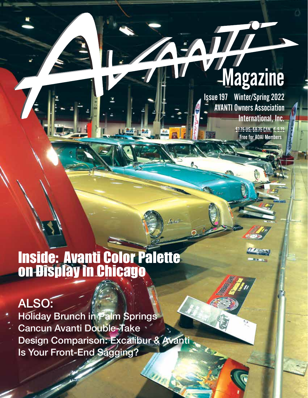## **Magazine**

EATH

Issue 197 Winter/Spring 2022 AVANTI Owners Association International, Inc.

> \$7.75 US; \$9.75 CAN; € 5.73 Free for AOAI Members

> > **MARSHA**  $\overline{1}$

## Inside: Avanti Color Palette on Display in Chicago

LL Roll-1 第六

## ALSO:

Holiday Brunch in Palm Springs Cancun Avanti Double-Take Design Comparison: Excalibur & Avanti Is Your Front-End Sagging?